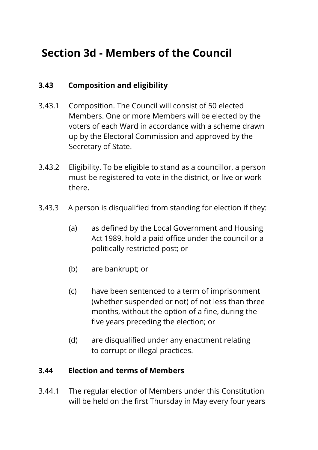# **Section 3d - Members of the Council**

## **3.43 Composition and eligibility**

- 3.43.1 Composition. The Council will consist of 50 elected Members. One or more Members will be elected by the voters of each Ward in accordance with a scheme drawn up by the Electoral Commission and approved by the Secretary of State.
- 3.43.2 Eligibility. To be eligible to stand as a councillor, a person must be registered to vote in the district, or live or work there.
- 3.43.3 A person is disqualified from standing for election if they:
	- (a) as defined by the Local Government and Housing Act 1989, hold a paid office under the council or a politically restricted post; or
	- (b) are bankrupt; or
	- (c) have been sentenced to a term of imprisonment (whether suspended or not) of not less than three months, without the option of a fine, during the five years preceding the election; or
	- (d) are disqualified under any enactment relating to corrupt or illegal practices.

#### **3.44 Election and terms of Members**

3.44.1 The regular election of Members under this Constitution will be held on the first Thursday in May every four years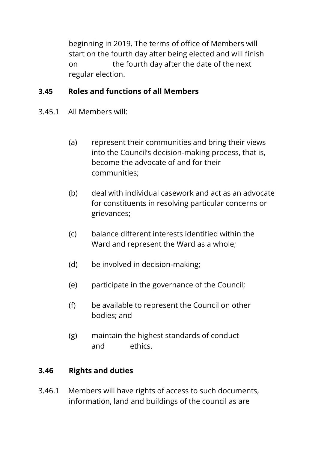beginning in 2019. The terms of office of Members will start on the fourth day after being elected and will finish on the fourth day after the date of the next regular election.

## **3.45 Roles and functions of all Members**

- 3.45.1 All Members will:
	- (a) represent their communities and bring their views into the Council's decision-making process, that is, become the advocate of and for their communities;
	- (b) deal with individual casework and act as an advocate for constituents in resolving particular concerns or grievances;
	- (c) balance different interests identified within the Ward and represent the Ward as a whole;
	- (d) be involved in decision-making;
	- (e) participate in the governance of the Council;
	- (f) be available to represent the Council on other bodies; and
	- (g) maintain the highest standards of conduct and ethics.

## **3.46 Rights and duties**

3.46.1 Members will have rights of access to such documents, information, land and buildings of the council as are